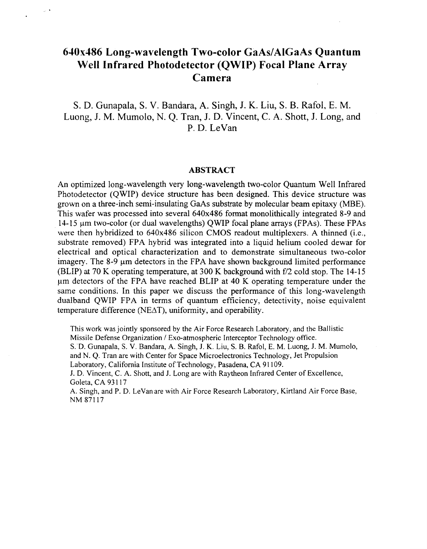# **640x486 Long-wavelength Two-color GaAs/AlGaAs Quantum Well Infrared Photodetector (QWIP) Focal Plane Array Camera**

**S.** D. Gunapala, **S.** V. Bandara, **A.** Singh, **J.** K. Liu, **S.** B. Rafol, E. M. Luong, **J.** M. Mumolo, N. Q. Tran, J. D. Vincent, *C.* **A.** Shott, J. Long, and P. D. LeVan

## **ABSTRACT**

An optimized long-wavelength very long-wavelength two-color Quantum Well Infrared Photodetector (QWIP) device structure has been designed. This device structure was grown on a three-inch semi-insulating GaAs substrate by molecular beam epitaxy (MBE). This wafer was processed into several 640x486 format monolithically integrated 8-9 and 14-15 pm two-color (or dual wavelengths) QWIP focal plane arrays (FPAs). These FPAs were then hybridized to 640x486 silicon CMOS readout multiplexers. A thinned (i.e., substrate removed) FPA hybrid was integrated into a liquid helium cooled dewar for electrical and optical characterization and to demonstrate simultaneous two-color imagery. The 8-9 µm detectors in the FPA have shown background limited performance (BLIP) at 70 K operating temperature, at 300 K background with f/2 cold stop. The 14-15 pm detectors of the FPA have reached BLIP at 40 K operating temperature under the same conditions. In this paper we discuss the performance of this long-wavelength dualband QWIP FPA in terms of quantum efficiency, detectivity, noise equivalent temperature difference (NEAT), uniformity, and operability.

This work was jointly sponsored by the Air Force Research Laboratory, and the Ballistic Missile Defense Organization / Exo-atmospheric Interceptor Technology office. S.'D. Gunapala, S. V. Bandara, A. Singh, J. K. Liu, **S.** B. Rafol, E. M. Luong, J. M. Mumolo, and N. Q. Tran are with Center for Space Microelectronics Technology, Jet Propulsion Laboratory, California Institute of Technology, Pasadena, CA 91 109. J. D. Vincent, C. A. Shott, and J. Long are with Raytheon Infrared Center of Excellence, Goleta, CA 93117 A. Singh, and P. D. LeVan are with Air Force Research Laboratory, Kirtland **Air** Force Base,

NM 871 17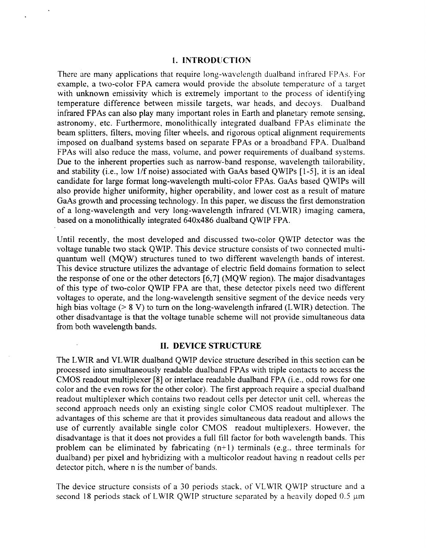# **1. INTRODUCTION**

<span id="page-1-0"></span>There are many applications that require long-wavelength dualband infrared FPAs. For example, a two-color FPA camera would provide the absolute temperature of a target with unknown emissivity which is extremely important to the process of identifying temperature difference between missile targets, war heads, and decoys. Dualband infrared FPAs can also play many important roles in Earth and planetary remote sensing, astronomy, etc. Furthermore, monolithically integrated dualband FPAs eliminate the beam splitters, filters, moving filter wheels, and rigorous optical alignment requirements imposed on dualband systems based on separate FPAs or a broadband FPA. Dualband FPAs will also reduce the mass, volume, and power requirements of dualband systems. Due to the inherent properties such as narrow-band response, wavelength tailorability. and stability (i.e., low l/f noise) associated with GaAs based QWIPs [l-51, it is an ideal candidate for large format long-wavelength multi-color FPAs. GaAs based QWIPs will also provide higher uniformity, higher operability, and lower cost as a result of mature GaAs growth and processing technology. In this paper, we discuss the first demonstration of a long-wavelength and very long-wavelength infrared (VLWIR) imaging camera, based on a monolithically integrated 640x486 dualband QWIP FPA.

Until recently, the most developed and discussed two-color QWIP detector was the voltage tunable two stack QWIP. This device structure consists of two connected multiquantum well (MQW) structures tuned to two different wavelength bands of interest. This device structure utilizes the advantage of electric field domains formation to select the response of one or the other detectors [6,7] (MQW region). The major disadvantages of this type of two-color QWIP FPA are that, these detector pixels need two different voltages to operate, and the long-wavelength sensitive segment of the device needs very high bias voltage (> **8** V) to turn on the long-wavelength infrared (LWIR) detection. The other disadvantage is that the voltage tunable scheme will not'provide simultaneous data from both wavelength bands.

## **11. DEVICE STRUCTURE**

The LWIR and VLWIR dualband QWIP device structure described in this section can be processed into simultaneously readable dualband FPAs with triple contacts to access the CMOS readout multiplexer **[8]** or interlace readable dualband FPA (i.e., odd rows for one color and the even rows for the other color). The first approach require a special dualband readout multiplexer which contains two readout cells per detector unit cell, whereas the second approach needs only an existing single color CMOS readout multiplexer. The advantages of this scheme are that it provides simultaneous data readout and allows the use of currently available single color CMOS readout multiplexers. However, the disadvantage is that it does not provides a full fill factor for both wavelength bands. This problem can be eliminated by fabricating  $(n+1)$  terminals  $(e.g.,$  three terminals for dualband) per pixel and hybridizing with a multicolor readout having n readout cells per detector pitch, where n is the number of bands.

The device structure consists of a 30 periods stack, of VLWIR QWIP structure and a second 18 periods stack of LWIR QWIP structure separated by a heavily doped  $0.5 \mu m$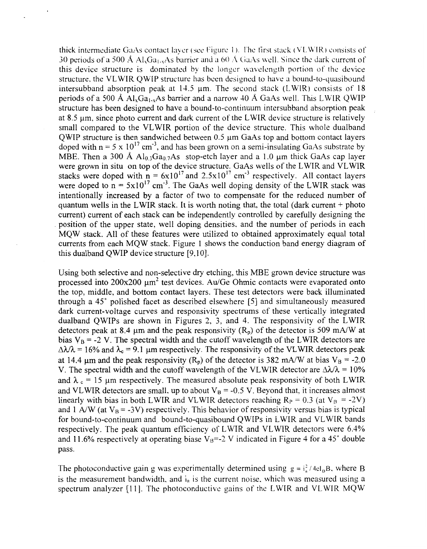thick intermediate GaAs contact layer *(see Figure 1)*. The first stack *(VLWIR)* consists of 30 periods of a 500 Å Al<sub>s</sub>Ga<sub>1-x</sub>As barrier and a 60 Å GaAs well. Since the dark current of this device structure is dominated by the longer wavelength portion of thc device structure, the VLWIR QWIP structure has been designed to have a bound-to-quasibound intersubband absorption peak at  $14.5 \mu m$ . The second stack (LWIR) consists of 18 periods of a 500 Å  $Al_xGa_{1-x}As$  barrier and a narrow 40 Å GaAs well. This LWIR QWIP structure has been designed to have a bound-to-continuum intersubband absorption peak at 8.5 um, since photo current and dark current of the LWIR device structure is relatively small compared to the VLWIR portion of the device structure. This whole dualband  $QWIP$  structure is then sandwiched between 0.5  $\mu$ m GaAs top and bottom contact layers doped with  $n = 5 \times 10^{17}$  cm<sup>-3</sup>, and has been grown on a semi-insulating GaAs substrate by MBE. Then a 300 Å  $Al_{0,3}Ga_{0,7}As$  stop-etch layer and a 1.0 µm thick GaAs cap layer were grown in situ on top of the device structure. GaAs wells of the LWIR and VLWIR stacks were doped with  $n = 6x10^{17}$  and  $2.5x10^{17}$  cm<sup>-3</sup> respectively. All contact layer were doped to  $n = 5x10''$  cm<sup>-3</sup>. The GaAs well doping density of the LWIR stack was intentionally increased by a factor of two to compensate for the reduced number of quantum wells in the LWIR stack. It is worth noting that, the total (dark current  $+$  photo current) current of each stack can be independently controlled by carefully designing the . position of the upper state, well doping densities. and the number of periods in each MQW stack. All of these features were utilized to obtained approximately equal total currents from each MQW stack. Figure 1 shows the conduction band energy diagram of this dualband QWIP device structure [9, lo].

Using both selective and non-selective dry etching, this MBE grown device structure was processed into  $200x200 \mu m^2$  test devices. Au/Ge Ohmic contacts were evaporated onto the top, middle, and bottom contact layers. These test detectors were back illuminated through a 45" polished facet as described elsewhere *[5]* and simultaneously measured dark current-voltage curves and responsivity spectrums of these vertically integrated dualband QWIPs are shown in Figures 2, 3, and 4. The responsivity of the LWIR detectors peak at 8.4  $\mu$ m and the peak responsivity (R<sub>p</sub>) of the detector is 509 mA/W at bias  $V_B$  = -2 V. The spectral width and the cutoff wavelength of the LWIR detectors are  $\Delta\lambda/\lambda$  = 16% and  $\lambda_c$  = 9.1 µm respectively. The responsivity of the VLWIR detectors peak at 14.4 µm and the peak responsivity ( $R_p$ ) of the detector is 382 mA/W at bias  $V_B = -2.0$ V. The spectral width and the cutoff wavelength of the VLWIR detector are  $\Delta\lambda/\lambda = 10\%$ and  $\lambda_c = 15$  µm respectively. The measured absolute peak responsivity of both LWIR and VLWIR detectors are small, up to about  $V_B = -0.5$  V. Beyond that, it increases almost linearly with bias in both LWIR and VLWIR detectors reaching  $R_p = 0.3$  (at  $V_B = -2V$ ) and 1 A/W (at  $V_B = -3V$ ) respectively. This behavior of responsivity versus bias is typical for bound-to-continuum and bound-to-quasibound QWIPs in LWIR and VLWIR bands respectively. The peak quantum efficiency of LWIR and VLWIR detectors were 6.4% and 11.6% respectively at operating biase  $V_B$ =-2 V indicated in Figure 4 for a 45° double pass.

The photoconductive gain g was experimentally determined using  $g = i_a^2/4el_pB$ , where B is the measurement bandwidth, and  $i<sub>n</sub>$  is the current noise, which was measured using a spectrum analyzer [11]. The photoconductive gains of the LWIR and VLWIR MQW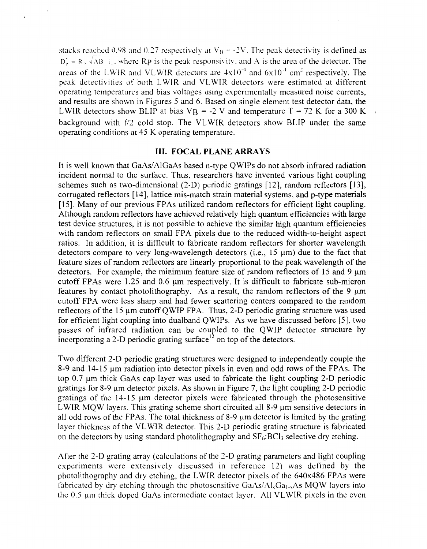stacks reached 0.98 and 0.27 respectively at  $V_B = -2V$ . The peak detectivity is defined as  $D_{\rm p} = R_{\rm p} \sqrt{AB} \cdot i_{\rm s}$ , where Rp is the peak responsivity, and A is the area of the detector. The areas of the LWIR and VLWIR detectors are  $4x10^{-4}$  and  $6x10^{-4}$  cm<sup>2</sup> respectively. The peak detectivitics of both LWIR and VLWIR detectors were estimated at different operating temperatures and bias voltages using experimentally measured noise currents, and results are shown in Figures 5 and **6.** Based on single element test detector data, the LWIR detectors show BLIP at bias  $V_B = -2$  V and temperature T = 72 K for a 300 K background with f/2 cold stop. The VLWIR detectors show BLIP under the same operating conditions at 45 K operating temperature.

#### **111. FOCAL PLANE ARRAYS**

It is well known that GaAs/AlGaAs based n-type QWIPs do not absorb infrared radiation incident normal to the surface. Thus, researchers have invented various light coupling schemes such as two-dimensional (2-D) periodic gratings [ 121, random reflectors [13], corrugated reflectors [14], lattice mis-match strain material systems, and p-type materials [ 151. Many of our previous FPAs utilized random reflectors for efficient light coupling. Although random reflectors have achieved relatively high quantum efficiencies with large test device structures, it is not possible to achieve the similar high quantum efficiencies with random reflectors on small FPA pixels due to the reduced width-to-height aspect ratios. In addition, it is difficult to fabricate random reflectors for shorter wavelength detectors compare to very long-wavelength detectors (i.e.,  $15 \mu m$ ) due to the fact that feature sizes of random reflectors are linearly proportional to the peak wavelength of the detectors. For example, the minimum feature size of random reflectors of 15 and 9  $\mu$ m cutoff FPAs were 1.25 and 0.6  $\mu$ m respectively. It is difficult to fabricate sub-micron features by contact photolithography. As a result, the random reflectors of the 9  $\mu$ m cutoff FPA were less sharp and had fewer scattering centers compared to the random reflectors of the  $15 \mu m$  cutoff QWIP FPA. Thus, 2-D periodic grating structure was used for efficient light coupling into dualband QWIPs. As we have discussed before [5], two passes of infrared radiation can be coupled to the QWIP detector structure by incorporating a 2-D periodic grating surface<sup>12</sup> on top of the detectors.

Two different 2-D periodic grating structures were designed to independently couple the 8-9 and 14-15  $\mu$ m radiation into detector pixels in even and odd rows of the FPAs. The top  $0.7$   $\mu$ m thick GaAs cap layer was used to fabricate the light coupling 2-D periodic gratings for  $8-9$  µm detector pixels. As shown in Figure 7, the light coupling 2-D periodic gratings of the  $14-15$  µm detector pixels were fabricated through the photosensitive LWIR MOW layers. This grating scheme short circuited all  $8-9 \mu m$  sensitive detectors in all odd rows of the FPAs. The total thickness of  $8-9$  µm detector is limited by the grating layer thickness of the VLWIR detector. This 2-D periodic grating structure is fabricated on the detectors by using standard photolithography and  $SF<sub>6</sub>:BC1<sub>3</sub>$  selective dry etching.

After the 3-D grating array (calculations of the 2-D grating parameters and light coupling experiments were xtensively discussed in reference 12) was defined by the photolithography and dry etching, the LWIR detector pixels of the 640x486 FPAs were fabricated by dry etching through the photosensitive  $GaAs/Al<sub>x</sub>Ga<sub>1-x</sub>As MQW layers into$ the 0.5 µm thick doped GaAs intermediate contact layer. All VLWIR pixels in the even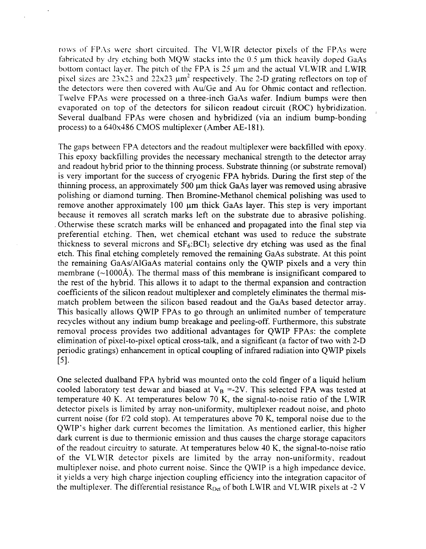rows of FPAs were short circuited. The VLWIR detector pixels of the FPAs were fabricated by dry etching both MOW stacks into the  $0.5 \mu m$  thick heavily doped GaAs bottom contact layer. The pitch of the FPA is  $25 \mu m$  and the actual VLWIR and LWIR pixel sizes are  $23x23$  and  $22x23$   $\mu$ m<sup>2</sup> respectively. The 2-D grating reflectors on top of the detectors were then covered with Au/Ge and Au for Ohmic contact and reflection. Twelve FPAs were processed on a three-inch GaAs wafer. Indium bumps were then evaporated on top of the detectors for silicon readout circuit (ROC) hybridization. Several dualband FPAs were chosen and hybridized (via an indium bump-bonding process) to a 640x486 CMOS multiplexer (Amber AE- 18 **1).** 

The gaps between FPA detectors and the readout multiplexer were backfilled with epoxy. This epoxy backfilling provides the necessary mechanical strength to the detector array and readout hybrid prior to the thinning process. Substrate thinning (or substrate removal) is very important for the success of cryogenic FPA hybrids. During the first step of the thinning process, an approximately 500 µm thick GaAs layer was removed using abrasive polishing or diamond turning. Then Bromine-Methanol chemical polishing was used to remove another approximately 100  $\mu$ m thick GaAs layer. This step is very important because it removes all scratch marks left on the substrate due to abrasive polishing. . Otherwise these scratch marks will be enhanced and propagated into the final step via preferential etching. Then, wet chemical etchant was used to reduce the substrate thickness to several microns and  $SF<sub>6</sub>:BC<sub>13</sub>$  selective dry etching was used as the final etch. This final etching completely removed the remaining GaAs substrate. At this point the remaining GaAs/AlGaAs material contains only the QWIP pixels and a very thin membrane  $(\sim 1000 \text{\AA})$ . The thermal mass of this membrane is insignificant compared to the rest of the hybrid. This allows it to adapt to the thermal expansion and contraction coefficients of the silicon readout multiplexer and completely eliminates the thermal mismatch problem between the silicon based readout and the GaAs based detector array. This basically allows QWIP FPAs to go through an unlimited number of temperature recycles without any indium bump breakage and peeling-off. Furthermore, this substrate removal process provides two additional advantages for QWIP FPAs: the complete elimination of pixel-to-pixel optical cross-talk, and a significant (a factor of two with 2-D periodic gratings) enhancement in optical coupling of infrared radiation into QWIP pixels ~51.

One selected dualband FPA hybrid was mounted onto the cold finger of a liquid helium cooled laboratory test dewar and biased at  $V_B = -2V$ . This selected FPA was tested at temperature 40 K. At temperatures below 70 K, the signal-to-noise ratio of the LWIR detector pixels is limited by array non-uniformity, multiplexer readout noise, and photo current noise (for f/2 cold stop). At temperatures above 70 K, temporal noise due to the QWIP's higher dark current becomes the limitation. **As** mentioned earlier, this higher dark current is due to thermionic emission and thus causes the charge storage capacitors of the readout circuitry to saturate. At temperatures below 40 K, the signal-to-noise ratio of the VLWIR detector pixels are limited by the array non-uniformity, readout multiplexer noise. and photo current noise. Since the QWIP is a high impedance device. it yields a very high charge injection coupling efficiency into the integration capacitor of the multiplexer. The differential resistance  $R_{Det}$  of both LWIR and VLWIR pixels at -2 V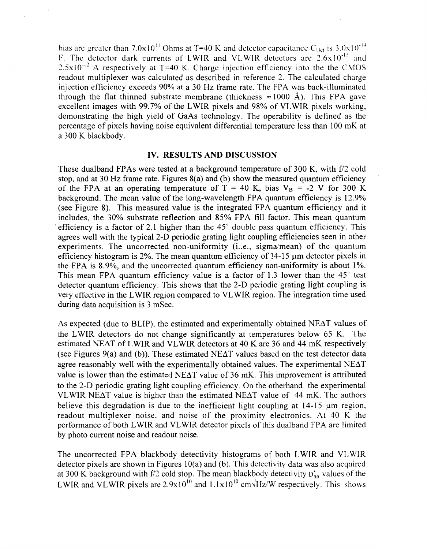bias are greater than  $7.0x10''$  Ohms at T=40 K and detector capacitance  $C_{\text{Det}}$  is  $3.0x10'''$ F. The detector dark currents of LWIR and VLWIR detectors are  $2.6 \times 10^{-10}$  and  $2.5 \times 10^{-12}$  A respectively at T=40 K. Charge injection efficiency into the the CMOS readout multiplexer was calculated as described in reference 2. The calculated charge injection efficiency exceeds 90% at a 30 **Hz** frame rate. The FPA was back-illuminated through the flat thinned substrate membrane (thickness  $\approx 1000$  Å). This FPA gave excellent images with 99.7% of the LWIR pixels and 98% of VLWIR pixels working, demonstrating the high yield of GaAs technology. The operability is defined as the percentage of pixels having noise equivalent differential temperature less than 100 mK at a 300 K blackbody.

#### **IV. RESULTS AND DISCUSSION**

'These dualband FPAs were tested at a background temperature of 300 K. with f/2 cold stop, and at 30 **Hz** frame rate. Figures 8(a) and (b) show the measured quantum efficiency of the FPA at an operating temperature of  $T = 40$  K, bias  $V_B = -2$  V for 300 K background. The mean value of the long-wavelength FPA quantum efficiency is 12.9% (see Figure **8).** This measured value is the integrated **FPA** quantum efficiency and it includes, the 30% substrate reflection and **85%** FPA fill factor. This mean quantum efficiency is a factor of 2.1 higher than the 45" double pass quantum efficiency. This agrees well with the typical 2-D periodic grating light coupling efficiencies seen in other experiments. The uncorrected non-uniformity (i..e., sigma/mean) of the quantum efficiency histogram is  $2\%$ . The mean quantum efficiency of  $14-15 \mu m$  detector pixels in the FPA is **8.9%,** and the uncorrected quantum efficiency non-uniformity is about 1%. This mean FPA quantum efficiency value is a factor of 1.3 lower than the 45° test detector quantum efficiency. This shows that the 2-D periodic grating light coupling is very effective in the LWIR region compared to VLWIR region. The integration time used during data acquisition is *3* mSec.

As expected (due to BLIP), the estimated and experimentally obtained NEAT values of the LWIR detectors do not change significantly at temperatures below 65 K. The estimated NEAT of LWIR and VLWIR detectors at 40 K are 36 and 44 mK respectively (see Figures 9(a) and (b)). These estimated NE $\Delta T$  values based on the test detector data agree reasonably well with the experimentally obtained values. The experimental NEAT value is lower than the estimated NEAT value of 36 mK. This improvement is attributed to the 2-D periodic grating light coupling efficiency. On the otherhand the experimental VLWIR NEAT value is higher than the estimated NEAT value of 44 mK. The authors believe this degradation is due to the inefficient light coupling at  $14-15$  µm region, readout multiplexer noise. and noise of the proximity electronics. At 40 K the performance of both LWIR and VLWIR detector pixels of this dualband FPA are limited by photo current noise and readout noise.

The uncorrected **FPA** blackbody detectivity histograms of both LWIR and VLWIR detector pixels are shown in Figures 10(a) and (b). This detectivity data was also acquired at 300 K background with f/2 cold stop. The mean blackbody detectivity  $D_{BB}^{\dagger}$  values of the LWIR and VLWIR pixels are  $2.9x10^{10}$  and  $1.1x10^{10}$  cm $\sqrt{Hz/W}$  respectively. This shows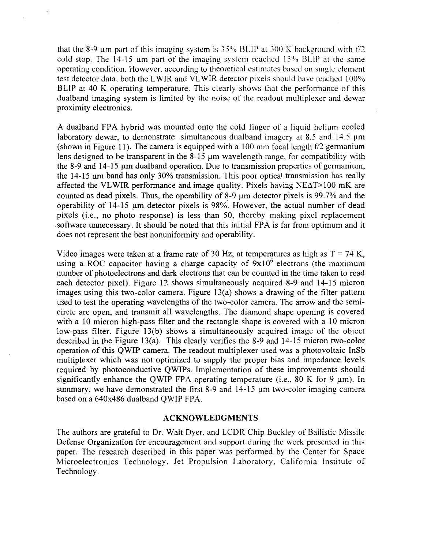that the 8-9  $\mu$ m part of this imaging system is 35% BLIP at 300 K background with f/2 cold stop. The  $14-15$  µm part of the imaging system reached  $15\%$  BLIP at the same operating condition. However. according to theoretical estimates based on single element test detector data, both the LWIR and VLWIR detector pixels should have reached 100%  $BLIP$  at 40 K operating temperature. This clearly shows that the performance of this dualband imaging system is limited by the noise of the readout multiplexer and dewar proximity electronics.

A dualband FPA hybrid was mounted onto the cold finger of a liquid helium cooled laboratory dewar, to demonstrate simultaneous dualband imagery at 8.5 and 14.5  $\mu$ m (shown in Figure 11). The camera is equipped with a 100 mm focal length f/2 germanium lens designed to be transparent in the  $8-15 \mu m$  wavelength range, for compatibility with the 8-9 and  $14-15 \mu m$  dualband operation. Due to transmission properties of germanium, the 14-15 um band has only 30% transmission. This poor optical transmission has really affected the VLWIR performance and image quality. Pixels having **NEAT>** 100 mK are counted as dead pixels. Thus, the operability of  $8-9 \mu m$  detector pixels is  $99.7\%$  and the operability of  $14-15$  µm detector pixels is 98%. However, the actual number of dead pixels (i.e., no photo response) is less than 50, thereby making pixel replacement software unnecessary. It should be noted that this initial FPA is far from optimum and it does not represent the best nonuniformity and operability.

Video images were taken at a frame rate of 30 Hz, at temperatures as high as  $T = 74$  K, using a ROC capacitor having a charge capacity of  $9x10^6$  electrons (the maximum number of photoelectrons and dark electrons that can be counted in the time taken to read each detector pixel). Figure 12 shows simultaneously acquired 8-9 and 14-15 micron images using this two-color camera. Figure 13(a) shows a drawing of the filter pattern used to test the operating wavelengths of the two-color camera. The arrow and the semicircle are open, and transmit all wavelengths. The diamond shape opening is covered with a 10 micron high-pass filter and the rectangle shape is covered with a 10 micron low-pass filter. Figure 13(b) shows a simultaneously acquired image of the object described in the Figure 13(a). This clearly verifies the 8-9 and 14-15 micron two-color operation of this QWIP camera. The readout multiplexer used was a photovoltaic InSb multiplexer which was not optimized to supply the proper bias and impedance levels required by photoconductive QWIPs. Implementation of these improvements should significantly enhance the QWIP FPA operating temperature (i.e., 80 K for 9  $\mu$ m). In summary, we have demonstrated the first 8-9 and 14-15  $\mu$ m two-color imaging camera based on a 640x486 dualband QWIP FPA.

## **ACKNOWLEDGMENTS**

The authors are grateful to Dr. Walt Dyer, and LCDR Chip Buckley of Ballistic Missile Defense Organization for encouragement and support during the work presented in this paper. The research described in this paper was performed by the Center for Space Microelectronics Technology, Jet Propulsion Laboratory. California Institute of Technology.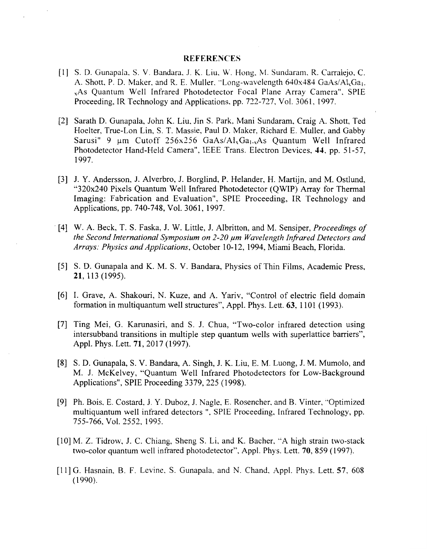#### **REFERENCES**

- [ 1 ] S. D. Gunapala. *S.* V. Bandara. J. K. Liu, Mi'. Hong, M. Sundaram. R. Carralejo, C. A. Shott, P. D. Maker, and R. E. Muller. "Long-wavelength 630x484 GaAs/Al,Ga,- <sub>x</sub>As Quantum Well Infrared Photodetector Focal Plane Array Camera". SPIE Proceeding, IR Technology and Applications. pp. 732-727, Voi. 3061, 1997.
- [2] Sarath D. Gunapala, John K. Liu, Jin S. Park, Mani Sundaram, Craig A. Shott, Ted Hoelter, True-Lon Lin, S. T. Massie, Paul D. Maker, Richard E. Muller. and Gabby Sarusi" 9  $\mu$ m Cutoff 256x256 GaAs/Al<sub>x</sub>Ga<sub>1-x</sub>As Quantum Well Infrared Photodetector Hand-Held Camera", IEEE Trans. Electron Devices, **44.** pp. 5 1-57, 1997.
- [3] J. Y. Anderson, J. Alverbro, J. Borglind, P. Helander, H. Martijn, and M. Ostlund, "320x240 Pixels Quantum Well infrared Photodetector (QWIP) Array for Thermal Imaging: Fabrication and Evaluation", SPIE Proceeding, IR Technology and Applications, pp. 740-748, Vol. 3061, 1997.
- ' [4] W. A. Beck, T. S. Faska, J. W. Little, J. Albritton, and M. Sensiper, *Proceedings of the Second International Symposium on 2-20 um Wavelength Infrared Detectors and* Arrays: Physics and Applications, October 10-12, 1994, Miami Beach, Florida.
- [5] **S.** D. Gunapala and K. M. S. V. Bandara, Physics of Thin Films, Academic Press, **21,** 113 (1995).
- [6] I. Grave, A. Shakouri, N. Kuze, and **A.** Yariv, "Control of electric field domain formation in multiquantum well structures", Appl. Phys. Lett. **63,** 1 101 (1993).
- [7] Ting Mei, *G.* Karunasiri, and S. J. Chua, "Two-color infrared detection using intersubband transitions in multiple step quantum wells with superlattice barriers", Appl. Phys. Lett. 71, 2017 (1997).
- [8] **S.** D. Gunapala, S. V. Bandara, A. Singh, J. K. Liu, E. M. Luong, **J.** M. Mumolo, and M. J. McKelvey, "Quantum Well Infrared Photodetectors for Low-Background Applications", SPIE Proceeding 3379,225 **(1** 998).
- [9] Ph. Bois. E. Costard. J. Y. Duboz, J. Nagle, E. Rosencher, and B. Vinter, "Optimized multiquantum well infrared detectors **'I,** SPIE Proceeding, Infrared Technology, pp. 755-766, Vol. 2552, 1995.
- [10] M. Z. Tidrow, J. C. Chiang, Sheng S. Li, and K. Bacher, "A high strain two-stack two-color quantum well infrared photodetector", Appl. Phys. Lett. **70**, 859 (1997).
- [I 11 G. Hasnain, B. F. Levine, S. Gunapala, and N. Chand, Appl. Phys. Lett. **57,** 608  $(1990).$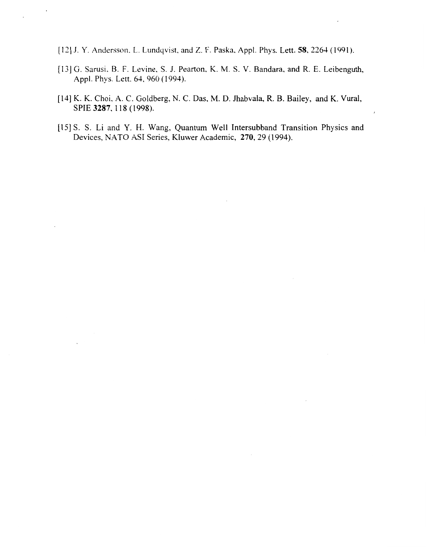- 1121 J. Y. Andersson. L.. Lundqvist. and Z. F. Paska, **Appi.** Phys. Lett. **58.** 2264 (1991).
- [13] G. Sarusi, B. F. Levine, S. J. Pearton, K. M. S. V. Bandara, and R. E. Leibenguth, Appl. Phys. Lett. 64, 960 (1994).
- [ 141 K. K. Choi, A. C. Goldberg, N. C. Das, M. D. Jhabvala, R. B. Bailey, and K. Vural, SPIE **3287, 1 18** (1 **998).**
- [15] S. S. Li and Y. H. Wang, Quantum Well Intersubband Transition Physics and Devices, NATO ASI Series, Kluwer Academic, 270, 29 (1994).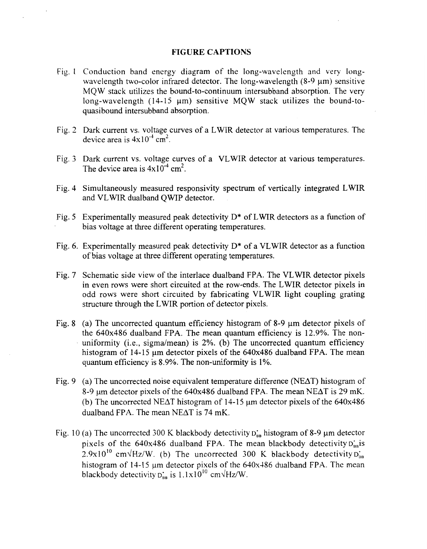#### **FIGURE CAPTIONS**

- Fig. 1 Conduction band energy diagram of the long-wavelength and very longwavelength two-color infrared detector. The long-wavelength  $(8-9 \text{ µm})$  sensitive MQ W stack utilizes the bound-to-continuum intersubband absorption. The very long-wavelength  $(14-15 \mu m)$  sensitive MQW stack utilizes the bound-toquasibound intersubband absorption.
- Fig. 2 Dark current vs. voltage curves of a LWIR detector at various temperatures. The device area is  $4 \times 10^{-4}$  cm<sup>2</sup>.
- Fig. 3 Dark current vs. voltage curves of a VLWIR detector at various temperatures. The device area is  $4x10^{-4}$  cm<sup>2</sup>.
- Fig. 4 Simultaneously measured responsivity spectrum of vertically integrated LWIR and VLWIR dualband QWIP detector.
- Fig. *5* Experimentally measured peak detectivity D\* of LWIR detectors as a fimction of bias voltage at three different operating temperatures.
- Fig. 6. Experimentally measured peak detectivity D\* of a VLWIR detector as a function of bias voltage at three different operating temperatures.
- Fig. 7 Schematic side view of the interlace dualband FPA. The VLWIR detector pixels in even rows were short circuited at the row-ends. The LWIR detector pixels in odd rows were short circuited by fabricating VLWIR light coupling grating structure through the LWIR portion of detector pixels.
- Fig. 8 (a) The uncorrected quantum efficiency histogram of 8-9  $\mu$ m detector pixels of the 640x486 dualband FPA. The mean quantum efficiency is 12.9%. The nonuniformity (i.e., sigma/mean) is 2%. (b) The uncorrected quantum efficiency histogram of  $14-15$  µm detector pixels of the 640x486 dualband FPA. The mean quantum efficiency is 8.9%. The non-uniformity is 1%.
- Fig. 9 (a) The uncorrected noise equivalent temperature difference (NE $\Delta T$ ) histogram of 8-9 µm detector pixels of the 640x486 dualband FPA. The mean NEAT is 29 mK. (b) The uncorrected NE $\Delta$ T histogram of 14-15 µm detector pixels of the 640x486 dualband FPA. The mean NEAT is 74 mK.
- Fig. 10 (a) The uncorrected 300 K blackbody detectivity  $D_{BB}$  histogram of 8-9  $\mu$ m detector pixels of the 640x486 dualband FPA. The mean blackbody detectivity  $D_{BB}$  is  $2.9x10^{10}$  cm $\sqrt{Hz/W}$ . (b) The uncorrected 300 K blackbody detectivity  $D_{BB}$ histogram of 14-15 µm detector pixels of the 640x486 dualband FPA. The mean blackbody detectivity  $D_{BB}$  is  $1.1 \times 10^{10}$  cm $\sqrt{Hz/W}$ .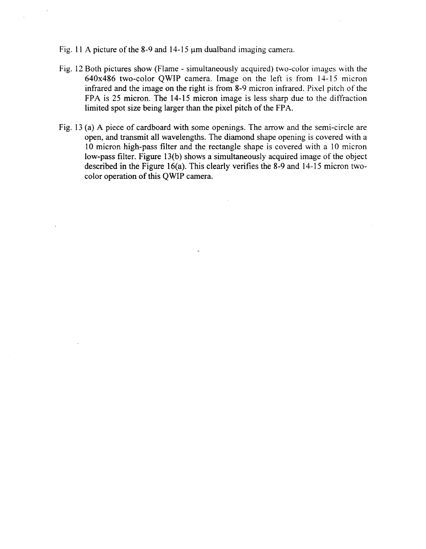- Fig. 11 A picture of the 8-9 and 14-15 µm dualband imaging camera.
- Fig. 12 Both pictures show (Flame simultaneously acquired) two-color images with the 640x486 two-color QWIP camera. Image on the left is from 14- 15 micron infrared and the image on the right is from 8-9 micron infrared. Pixel pitch of the FPA is **25** micron. The 14-15 micron image is less sharp due to the diffraction limited spot size being larger than the pixel pitch of the FPA.
- Fig. 13 (a) **A** piece of cardboard with some openings. The arrow and the semi-circle are open, and transmit all wavelengths. The diamond shape opening is covered with a 10 micron high-pass filter and the rectangle shape is covered with a 10 micron low-pass filter. Figure 13(b) shows a simultaneously acquired image of the object described in the Figure 16(a). This clearly verifies the 8-9 and 14- 15 micron twocolor operation of this QWIP camera.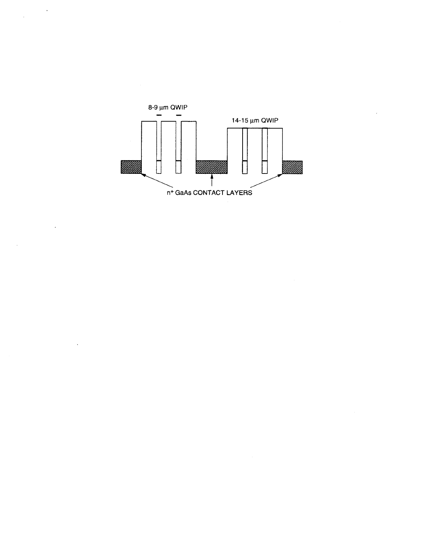

 $\mathcal{A}$ 

 $\sim$ 

 $\hat{\mathbf{r}}$ 

 $\mathcal{L}$ 

 $\frac{1}{2} \left( \frac{1}{2} \right)$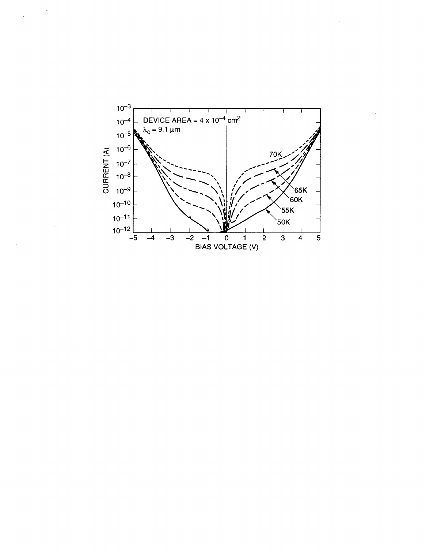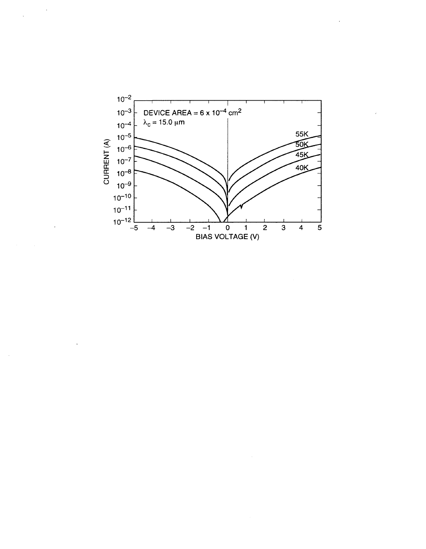<span id="page-13-0"></span>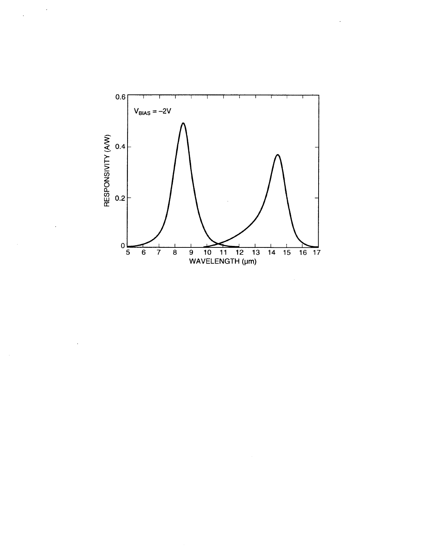

l,

 $\frac{1}{2}$ 

 $\ddot{\phantom{0}}$ 

 $\hat{\boldsymbol{\theta}}$ 

 $\mathcal{L}$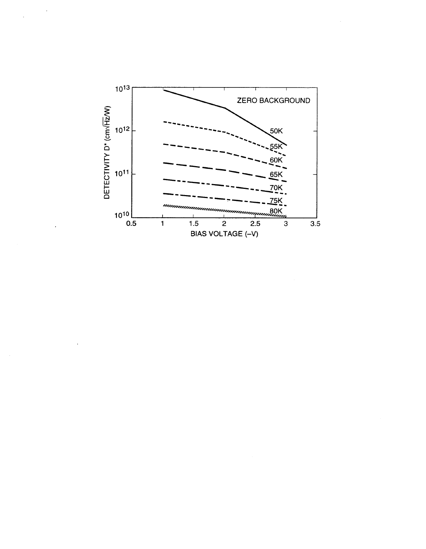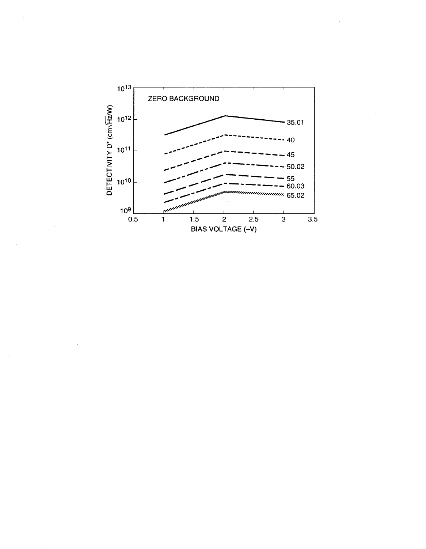

l,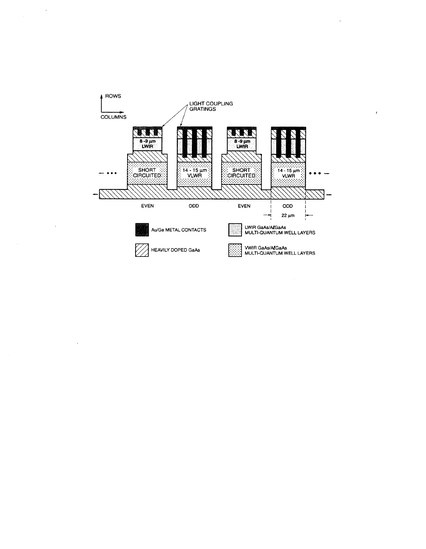

 $\ddot{\phantom{0}}$ 

 $\overline{ }$ 

 $\sim$ 

 $\bar{z}$ 

 $\ddot{\phantom{a}}$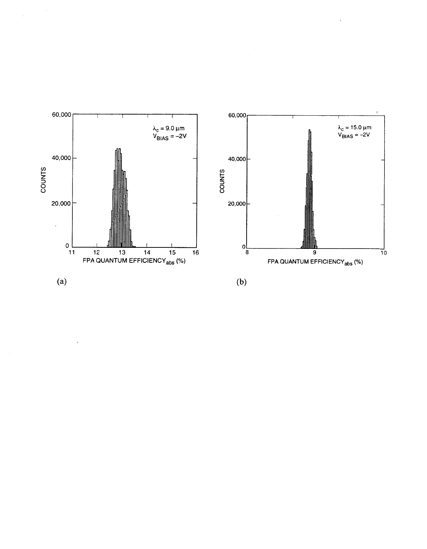

 $\ddot{\phantom{0}}$ 

 $\overline{10}$ 

<span id="page-18-0"></span> $\sim$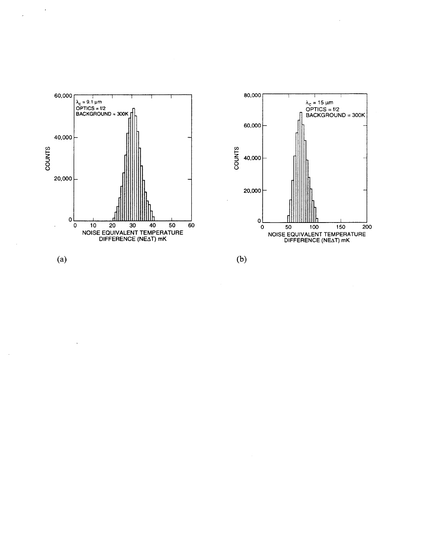





 $\ddot{\phantom{a}}$ 

 $(b)$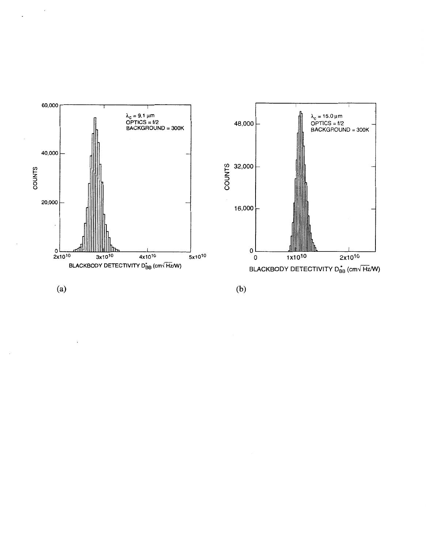



 $(a)$ 

 $(b)$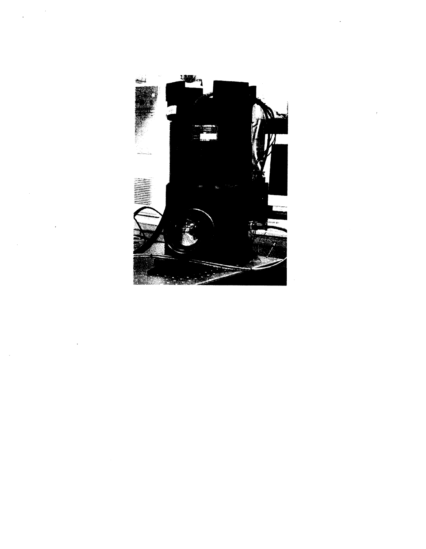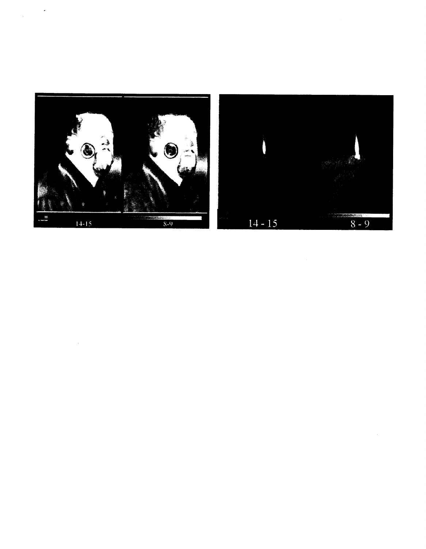